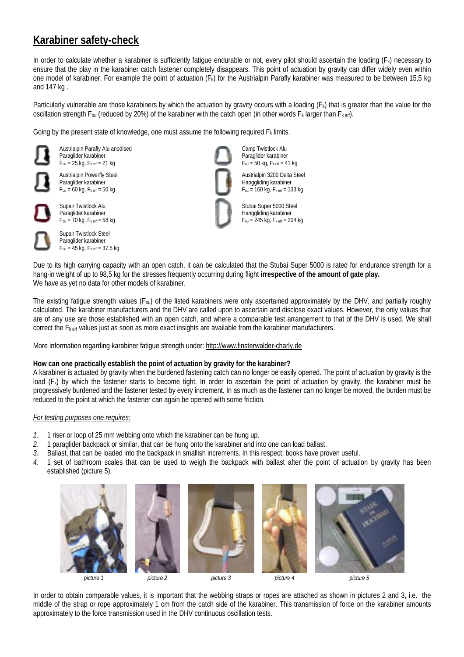## **Karabiner safety-check**

In order to calculate whether a karabiner is sufficiently fatigue endurable or not, every pilot should ascertain the loading (F<sub>k</sub>) necessary to ensure that the play in the karabiner catch fastener completely disappears. This point of actuation by gravity can differ widely even within one model of karabiner. For example the point of actuation (Fk) for the Austrialpin Parafly karabiner was measured to be between 15,5 kg and 147 kg .

Particularly vulnerable are those karabiners by which the actuation by gravity occurs with a loading  $(F_k)$  that is greater than the value for the oscillation strength  $F_{0u}$  (reduced by 20%) of the karabiner with the catch open (in other words  $F_k$  larger than  $F_{k}$  erf).

Going by the present state of knowledge, one must assume the following required  $F_k$  limits.

Austrialpin Parafly Alu anodised Paraglider karabiner  $F_{\text{ou}} = 25$  kg,  $F_{\text{k erf}} = 21$  kg

Austrialpin Powerfly Steel Paraglider karabiner  $F_{\text{ou}} = 60$  kg,  $F_{\text{k erf}} = 50$  kg



Supair Twistlock Alu Paraglider karabiner  $F_{\text{ou}} = 70 \text{ kg}$ ,  $F_{\text{k erf}} = 58 \text{ kg}$ 

Supair Twistlock Steel Paraglider karabiner  $F_{\text{ou}} = 45 \text{ kg}$ ,  $F_{\text{k erf}} = 37.5 \text{ kg}$ 

Camp Twistlock Alu Paraglider karabiner  $F_{\text{ou}} = 50$  kg,  $F_{\text{k erf}} = 41$  kg

Austrialpin 3200 Delta Steel Hanggliding karabiner  $F_{\text{ou}} = 160 \text{ kg}, F_{\text{k erf}} = 133 \text{ kg}$ 

Stubai Super 5000 Steel Hanggliding karabiner  $F_{\text{ou}} = 245 \text{ kg}, F_{\text{k erf}} = 204 \text{ kg}$ 

Due to its high carrying capacity with an open catch, it can be calculated that the Stubai Super 5000 is rated for endurance strength for a hang-in weight of up to 98,5 kg for the stresses frequently occurring during flight **irrespective of the amount of gate play.** We have as yet no data for other models of karabiner.

The existing fatigue strength values ( $F_{0U}$ ) of the listed karabiners were only ascertained approximately by the DHV, and partially roughly calculated. The karabiner manufacturers and the DHV are called upon to ascertain and disclose exact values. However, the only values that are of any use are those established with an open catch, and where a comparable test arrangement to that of the DHV is used. We shall correct the F<sub>k erf</sub> values just as soon as more exact insights are available from the karabiner manufacturers.

More information regarding karabiner fatigue strength under: http://www.finsterwalder-charly.de

## **How can one practically establish the point of actuation by gravity for the karabiner?**

A karabiner is actuated by gravity when the burdened fastening catch can no longer be easily opened. The point of actuation by gravity is the load (Fk) by which the fastener starts to become tight. In order to ascertain the point of actuation by gravity, the karabiner must be progressively burdened and the fastener tested by every increment. In as much as the fastener can no longer be moved, the burden must be reduced to the point at which the fastener can again be opened with some friction.

## *For testing purposes one requires:*

- *1.* 1 riser or loop of 25 mm webbing onto which the karabiner can be hung up.
- *2.* 1 paraglider backpack or similar, that can be hung onto the karabiner and into one can load ballast.
- *3.* Ballast, that can be loaded into the backpack in smallish increments. In this respect, books have proven useful.
- *4.* 1 set of bathroom scales that can be used to weigh the backpack with ballast after the point of actuation by gravity has been established (picture 5).











*picture 1 picture 2 picture 3 picture 4 picture 5* 

In order to obtain comparable values, it is important that the webbing straps or ropes are attached as shown in pictures 2 and 3, i.e. the middle of the strap or rope approximately 1 cm from the catch side of the karabiner. This transmission of force on the karabiner amounts approximately to the force transmission used in the DHV continuous oscillation tests.